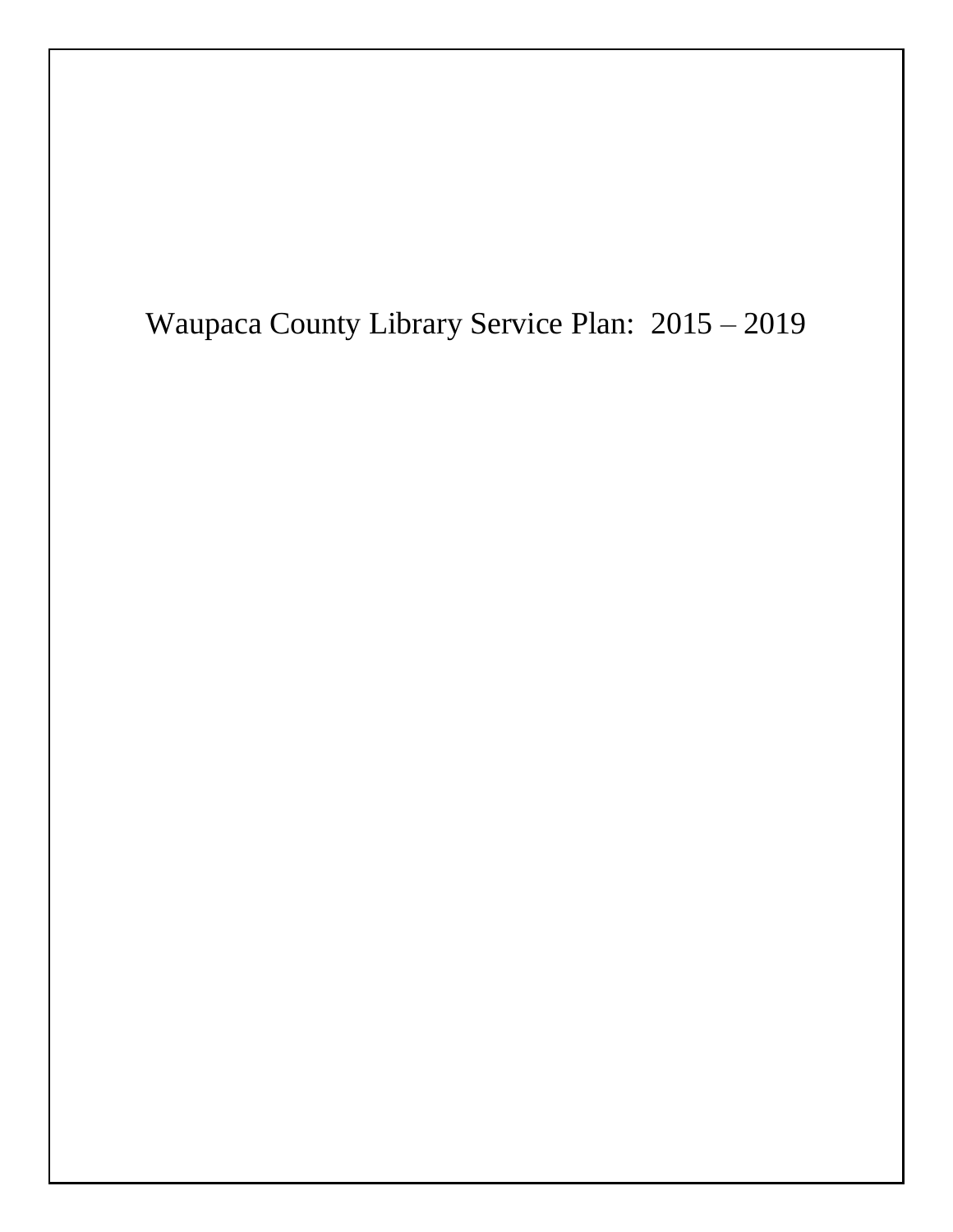Waupaca County Library Service Plan: 2015 – 2019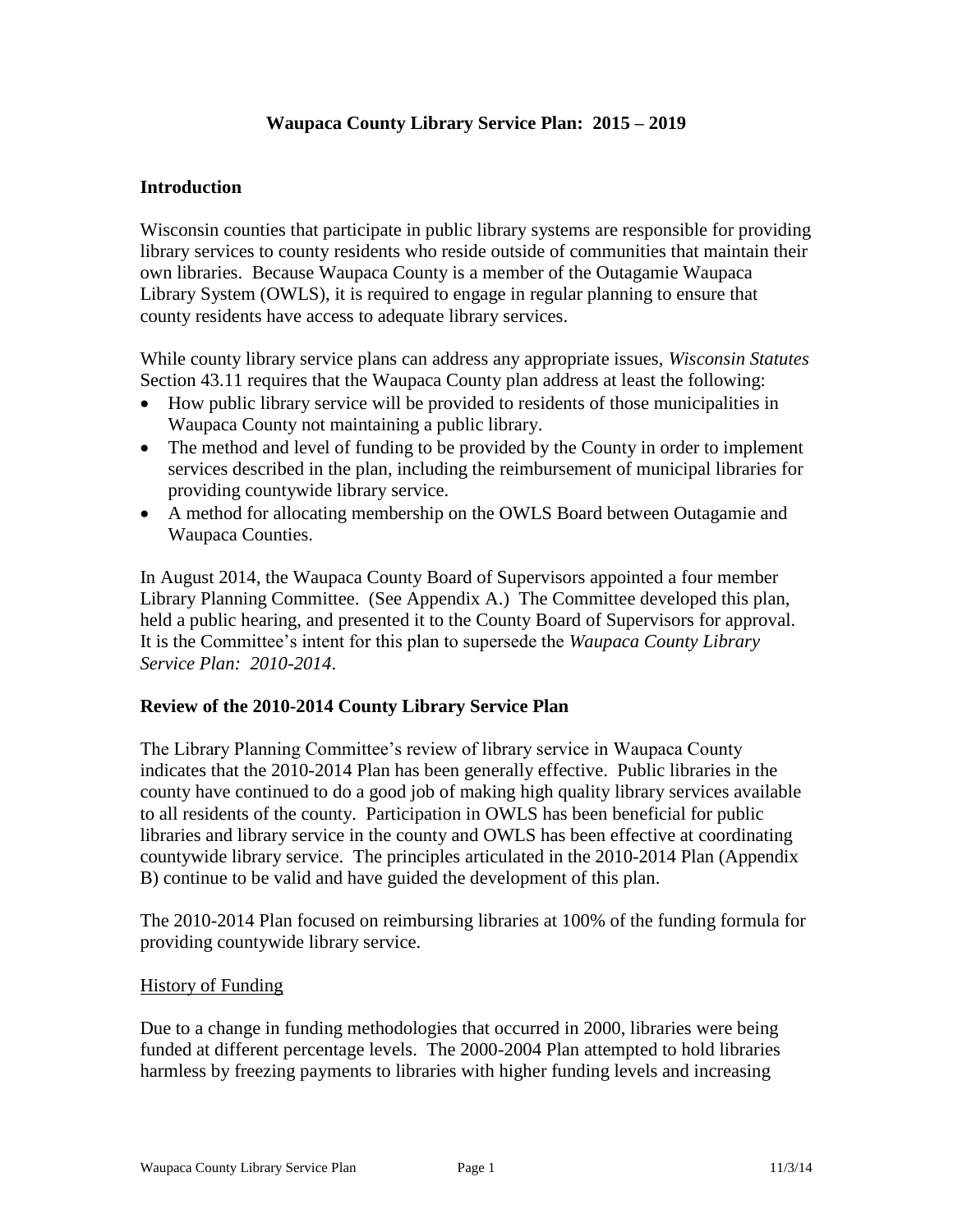## **Waupaca County Library Service Plan: 2015 – 2019**

## **Introduction**

Wisconsin counties that participate in public library systems are responsible for providing library services to county residents who reside outside of communities that maintain their own libraries. Because Waupaca County is a member of the Outagamie Waupaca Library System (OWLS), it is required to engage in regular planning to ensure that county residents have access to adequate library services.

While county library service plans can address any appropriate issues, *Wisconsin Statutes* Section 43.11 requires that the Waupaca County plan address at least the following:

- How public library service will be provided to residents of those municipalities in Waupaca County not maintaining a public library.
- The method and level of funding to be provided by the County in order to implement services described in the plan, including the reimbursement of municipal libraries for providing countywide library service.
- A method for allocating membership on the OWLS Board between Outagamie and Waupaca Counties.

In August 2014, the Waupaca County Board of Supervisors appointed a four member Library Planning Committee. (See Appendix A.) The Committee developed this plan, held a public hearing, and presented it to the County Board of Supervisors for approval. It is the Committee's intent for this plan to supersede the *Waupaca County Library Service Plan: 2010-2014*.

#### **Review of the 2010-2014 County Library Service Plan**

The Library Planning Committee's review of library service in Waupaca County indicates that the 2010-2014 Plan has been generally effective. Public libraries in the county have continued to do a good job of making high quality library services available to all residents of the county. Participation in OWLS has been beneficial for public libraries and library service in the county and OWLS has been effective at coordinating countywide library service. The principles articulated in the 2010-2014 Plan (Appendix B) continue to be valid and have guided the development of this plan.

The 2010-2014 Plan focused on reimbursing libraries at 100% of the funding formula for providing countywide library service.

#### History of Funding

Due to a change in funding methodologies that occurred in 2000, libraries were being funded at different percentage levels. The 2000-2004 Plan attempted to hold libraries harmless by freezing payments to libraries with higher funding levels and increasing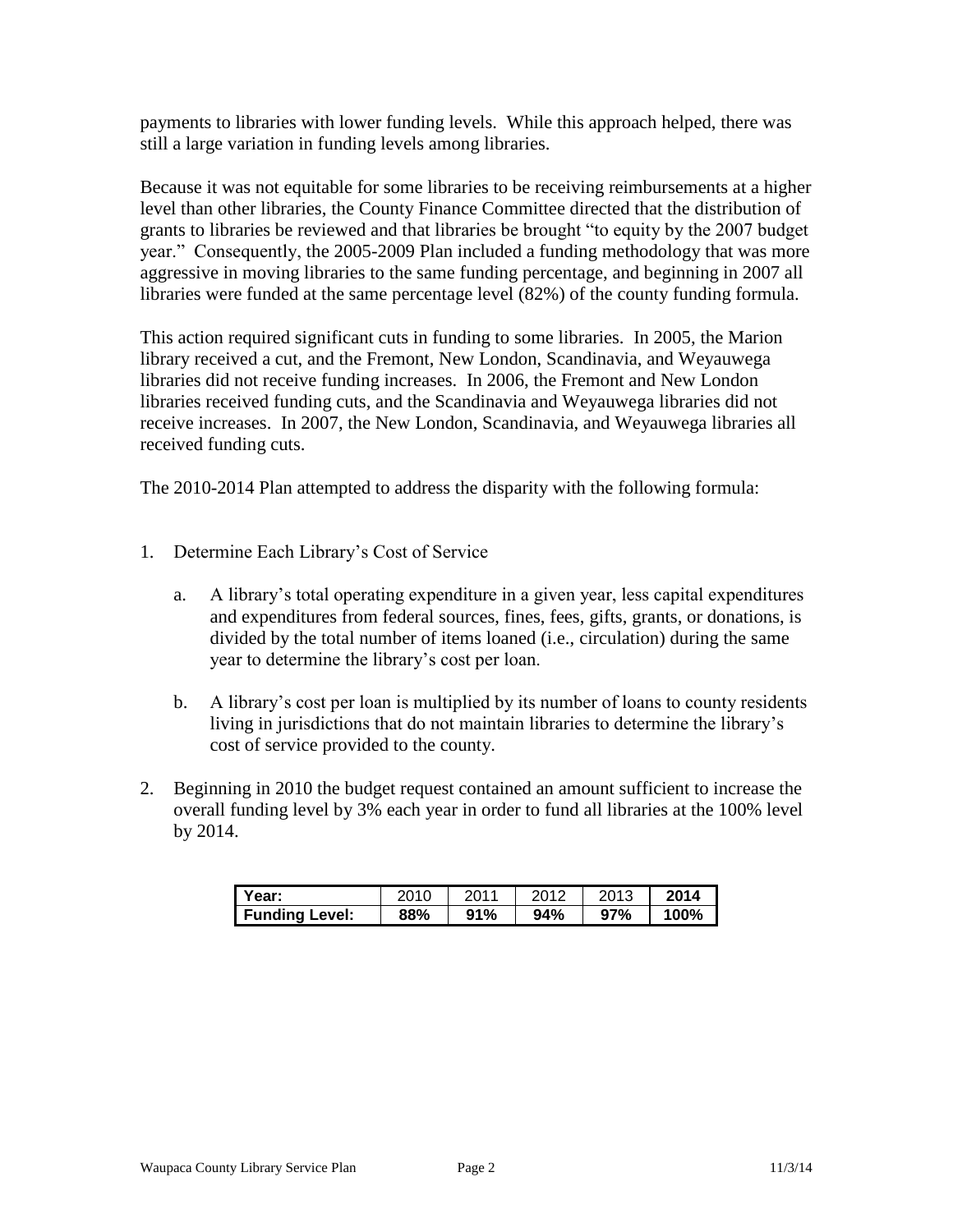payments to libraries with lower funding levels. While this approach helped, there was still a large variation in funding levels among libraries.

Because it was not equitable for some libraries to be receiving reimbursements at a higher level than other libraries, the County Finance Committee directed that the distribution of grants to libraries be reviewed and that libraries be brought "to equity by the 2007 budget year." Consequently, the 2005-2009 Plan included a funding methodology that was more aggressive in moving libraries to the same funding percentage, and beginning in 2007 all libraries were funded at the same percentage level (82%) of the county funding formula.

This action required significant cuts in funding to some libraries. In 2005, the Marion library received a cut, and the Fremont, New London, Scandinavia, and Weyauwega libraries did not receive funding increases. In 2006, the Fremont and New London libraries received funding cuts, and the Scandinavia and Weyauwega libraries did not receive increases. In 2007, the New London, Scandinavia, and Weyauwega libraries all received funding cuts.

The 2010-2014 Plan attempted to address the disparity with the following formula:

- 1. Determine Each Library's Cost of Service
	- a. A library's total operating expenditure in a given year, less capital expenditures and expenditures from federal sources, fines, fees, gifts, grants, or donations, is divided by the total number of items loaned (i.e., circulation) during the same year to determine the library's cost per loan.
	- b. A library's cost per loan is multiplied by its number of loans to county residents living in jurisdictions that do not maintain libraries to determine the library's cost of service provided to the county.
- 2. Beginning in 2010 the budget request contained an amount sufficient to increase the overall funding level by 3% each year in order to fund all libraries at the 100% level by 2014.

| Year:                 | 2010 | 2011 | 2012 | 2013 | 2014 |
|-----------------------|------|------|------|------|------|
| <b>Funding Level:</b> | 88%  | 91%  | 94%  | 97%  | 100% |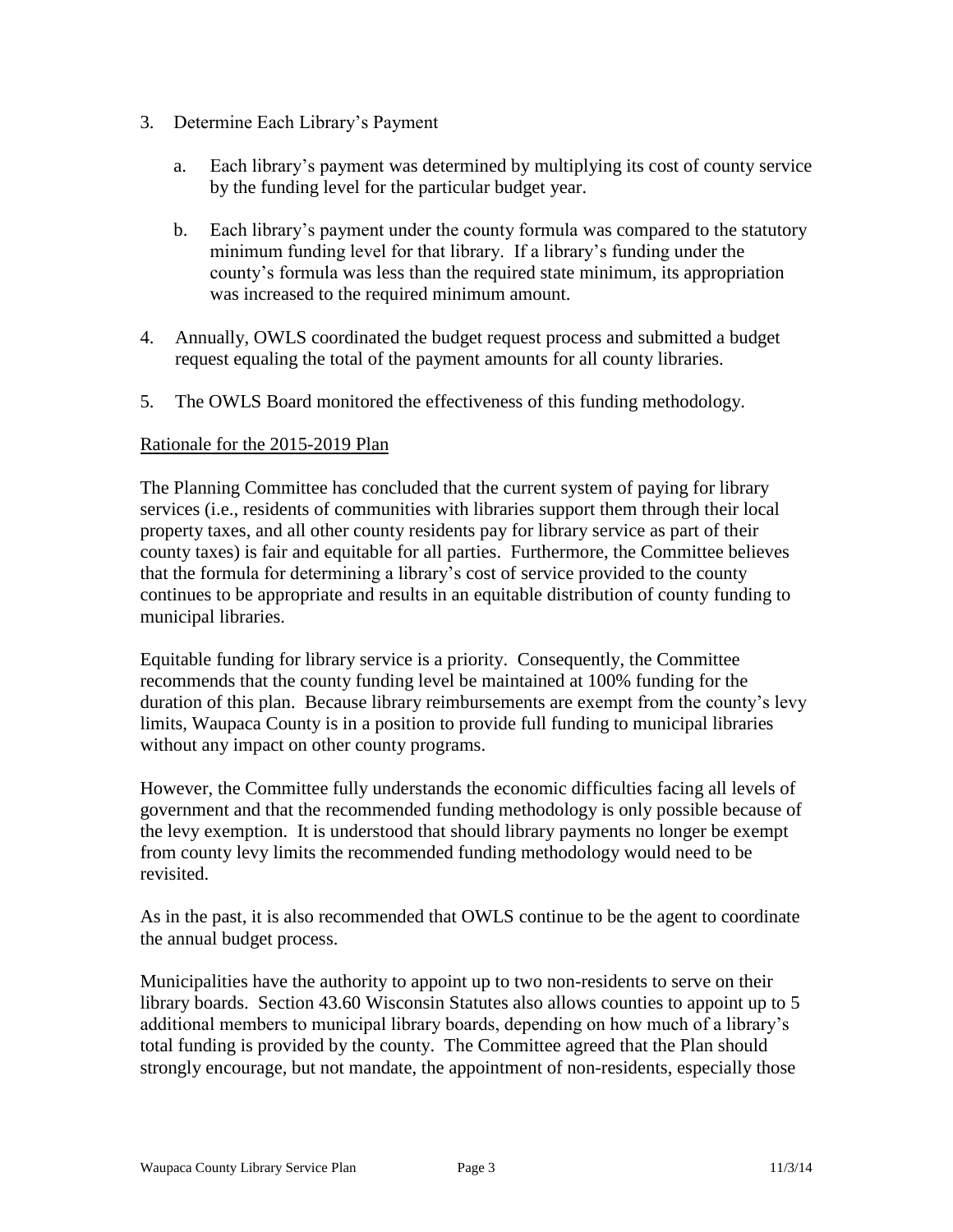- 3. Determine Each Library's Payment
	- a. Each library's payment was determined by multiplying its cost of county service by the funding level for the particular budget year.
	- b. Each library's payment under the county formula was compared to the statutory minimum funding level for that library. If a library's funding under the county's formula was less than the required state minimum, its appropriation was increased to the required minimum amount.
- 4. Annually, OWLS coordinated the budget request process and submitted a budget request equaling the total of the payment amounts for all county libraries.
- 5. The OWLS Board monitored the effectiveness of this funding methodology.

### Rationale for the 2015-2019 Plan

The Planning Committee has concluded that the current system of paying for library services (i.e., residents of communities with libraries support them through their local property taxes, and all other county residents pay for library service as part of their county taxes) is fair and equitable for all parties. Furthermore, the Committee believes that the formula for determining a library's cost of service provided to the county continues to be appropriate and results in an equitable distribution of county funding to municipal libraries.

Equitable funding for library service is a priority. Consequently, the Committee recommends that the county funding level be maintained at 100% funding for the duration of this plan. Because library reimbursements are exempt from the county's levy limits, Waupaca County is in a position to provide full funding to municipal libraries without any impact on other county programs.

However, the Committee fully understands the economic difficulties facing all levels of government and that the recommended funding methodology is only possible because of the levy exemption. It is understood that should library payments no longer be exempt from county levy limits the recommended funding methodology would need to be revisited.

As in the past, it is also recommended that OWLS continue to be the agent to coordinate the annual budget process.

Municipalities have the authority to appoint up to two non-residents to serve on their library boards. Section 43.60 Wisconsin Statutes also allows counties to appoint up to 5 additional members to municipal library boards, depending on how much of a library's total funding is provided by the county. The Committee agreed that the Plan should strongly encourage, but not mandate, the appointment of non-residents, especially those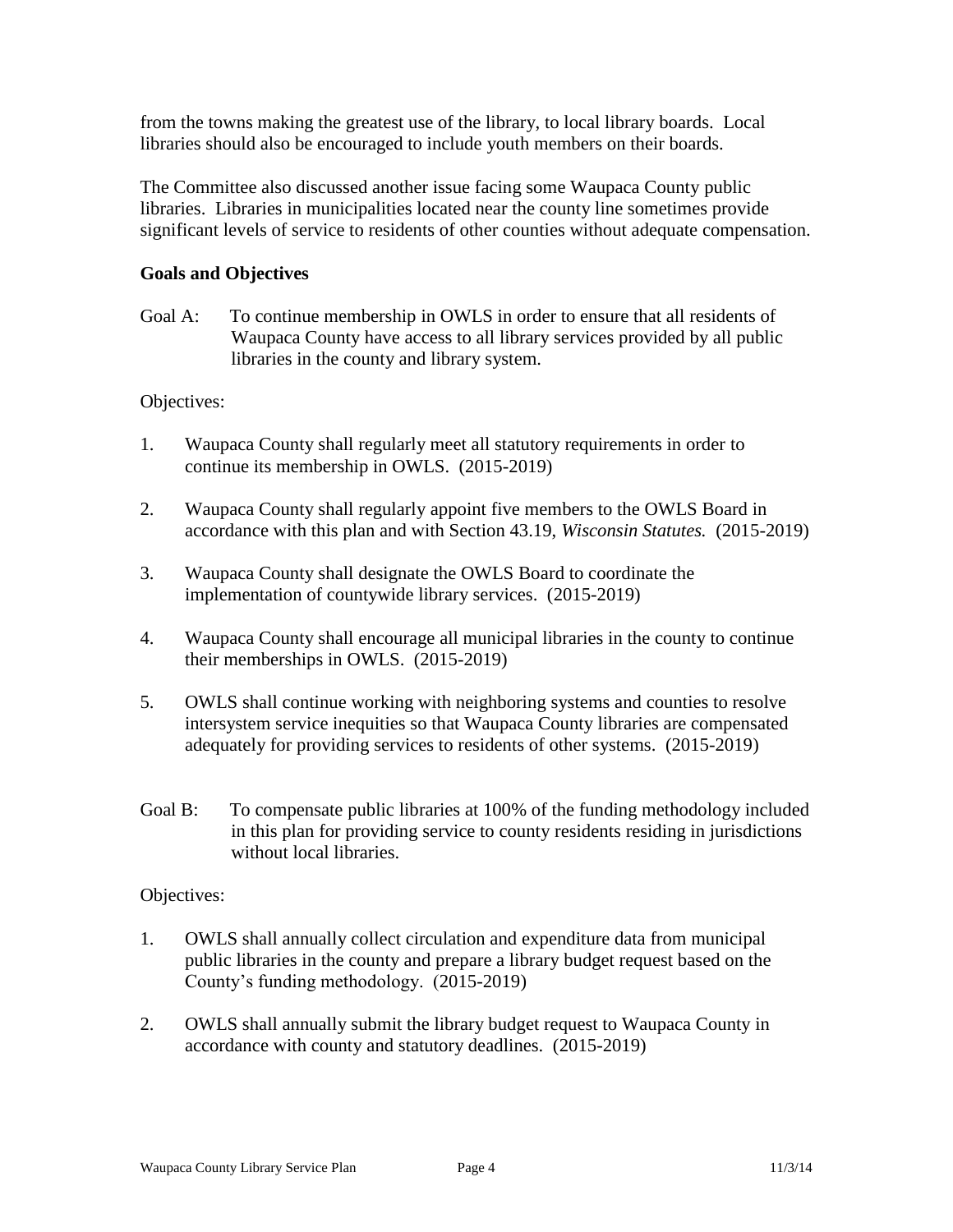from the towns making the greatest use of the library, to local library boards. Local libraries should also be encouraged to include youth members on their boards.

The Committee also discussed another issue facing some Waupaca County public libraries. Libraries in municipalities located near the county line sometimes provide significant levels of service to residents of other counties without adequate compensation.

### **Goals and Objectives**

Goal A: To continue membership in OWLS in order to ensure that all residents of Waupaca County have access to all library services provided by all public libraries in the county and library system.

Objectives:

- 1. Waupaca County shall regularly meet all statutory requirements in order to continue its membership in OWLS. (2015-2019)
- 2. Waupaca County shall regularly appoint five members to the OWLS Board in accordance with this plan and with Section 43.19, *Wisconsin Statutes.* (2015-2019)
- 3. Waupaca County shall designate the OWLS Board to coordinate the implementation of countywide library services. (2015-2019)
- 4. Waupaca County shall encourage all municipal libraries in the county to continue their memberships in OWLS. (2015-2019)
- 5. OWLS shall continue working with neighboring systems and counties to resolve intersystem service inequities so that Waupaca County libraries are compensated adequately for providing services to residents of other systems. (2015-2019)
- Goal B: To compensate public libraries at 100% of the funding methodology included in this plan for providing service to county residents residing in jurisdictions without local libraries.

#### Objectives:

- 1. OWLS shall annually collect circulation and expenditure data from municipal public libraries in the county and prepare a library budget request based on the County's funding methodology. (2015-2019)
- 2. OWLS shall annually submit the library budget request to Waupaca County in accordance with county and statutory deadlines. (2015-2019)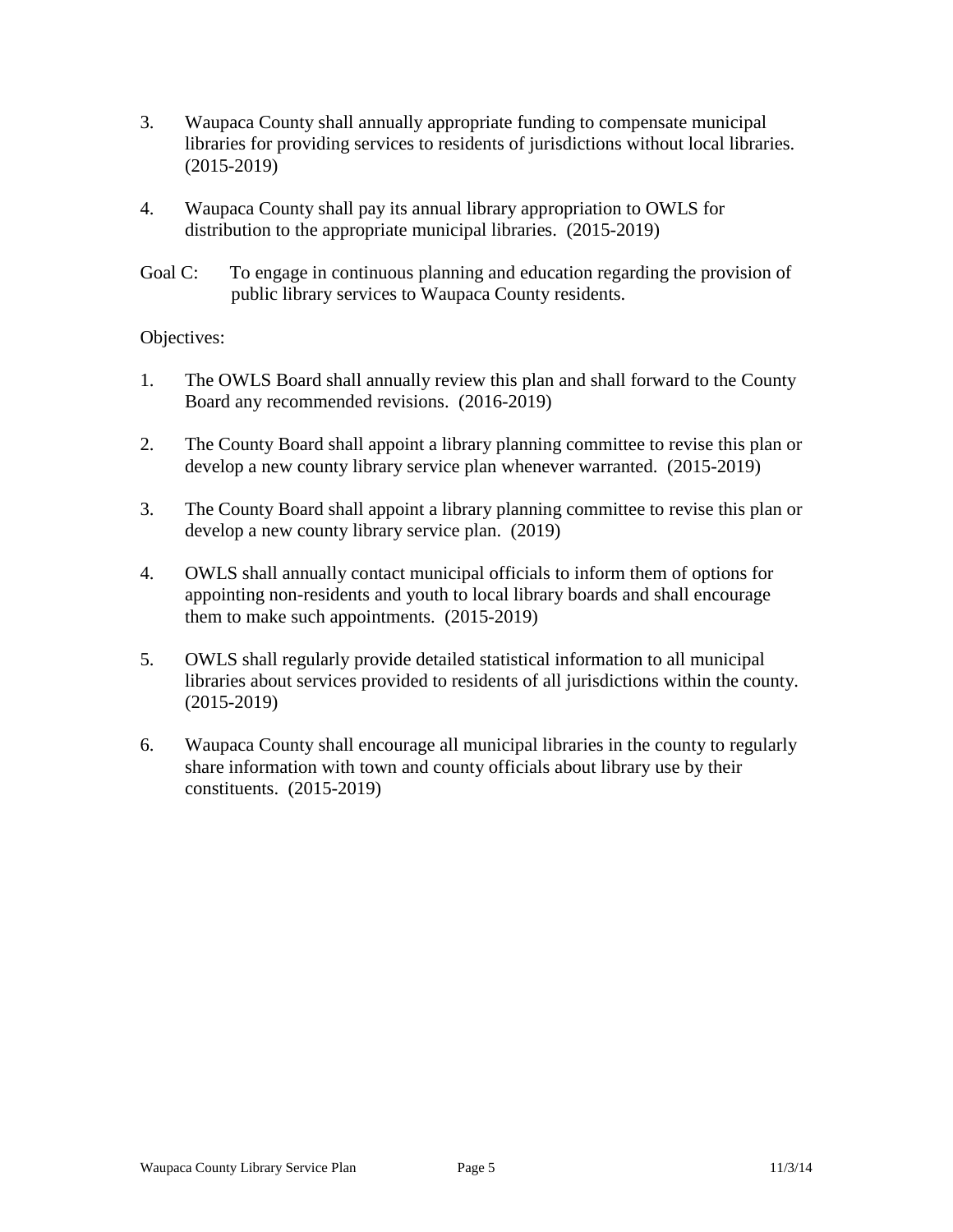- 3. Waupaca County shall annually appropriate funding to compensate municipal libraries for providing services to residents of jurisdictions without local libraries. (2015-2019)
- 4. Waupaca County shall pay its annual library appropriation to OWLS for distribution to the appropriate municipal libraries. (2015-2019)
- Goal C: To engage in continuous planning and education regarding the provision of public library services to Waupaca County residents.

Objectives:

- 1. The OWLS Board shall annually review this plan and shall forward to the County Board any recommended revisions. (2016-2019)
- 2. The County Board shall appoint a library planning committee to revise this plan or develop a new county library service plan whenever warranted. (2015-2019)
- 3. The County Board shall appoint a library planning committee to revise this plan or develop a new county library service plan. (2019)
- 4. OWLS shall annually contact municipal officials to inform them of options for appointing non-residents and youth to local library boards and shall encourage them to make such appointments. (2015-2019)
- 5. OWLS shall regularly provide detailed statistical information to all municipal libraries about services provided to residents of all jurisdictions within the county. (2015-2019)
- 6. Waupaca County shall encourage all municipal libraries in the county to regularly share information with town and county officials about library use by their constituents. (2015-2019)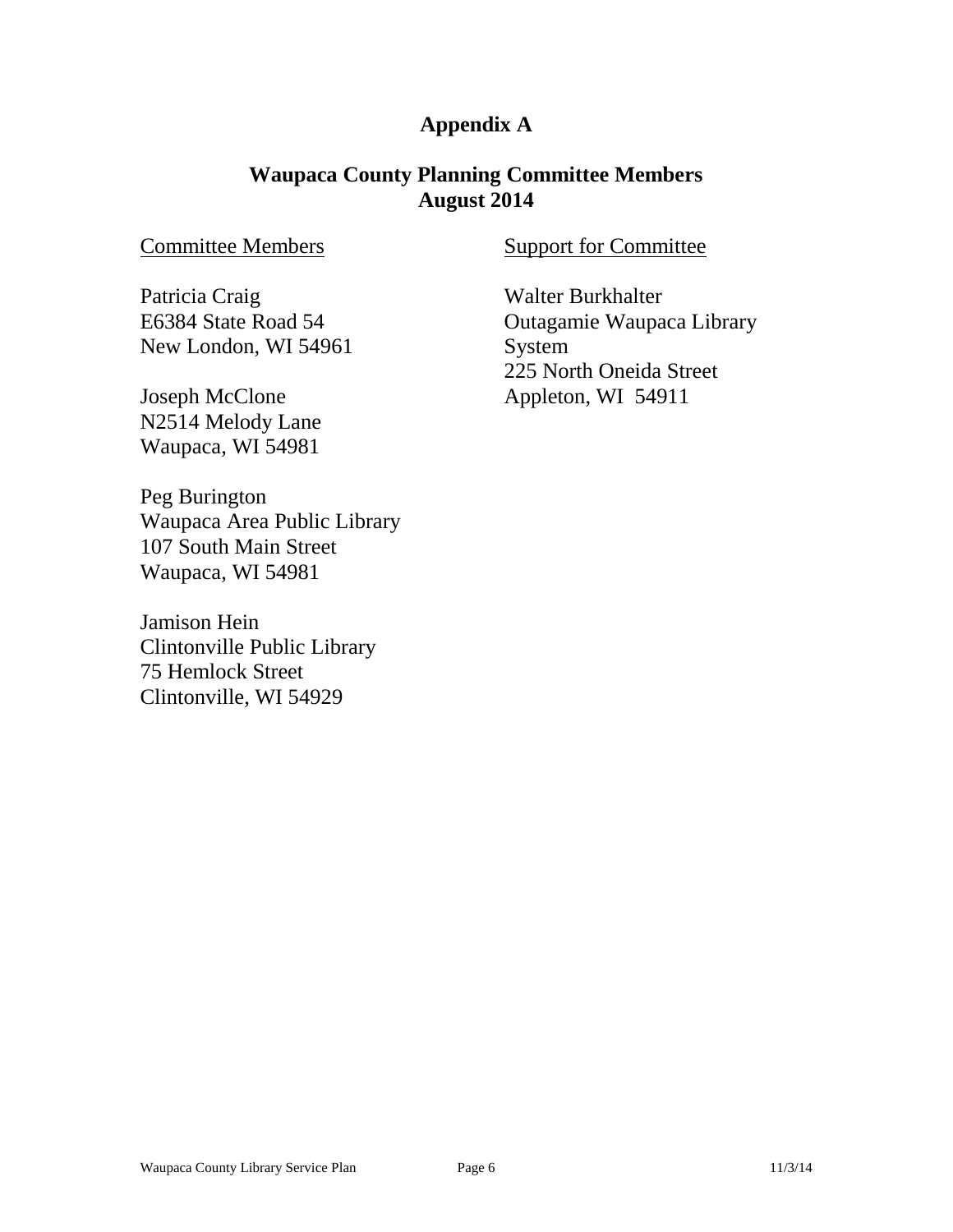# **Appendix A**

## **Waupaca County Planning Committee Members August 2014**

## Committee Members

Patricia Craig E6384 State Road 54 New London, WI 54961

Joseph McClone N2514 Melody Lane Waupaca, WI 54981

Peg Burington Waupaca Area Public Library 107 South Main Street Waupaca, WI 54981

Jamison Hein Clintonville Public Library 75 Hemlock Street Clintonville, WI 54929

Support for Committee

Walter Burkhalter Outagamie Waupaca Library System 225 North Oneida Street Appleton, WI 54911